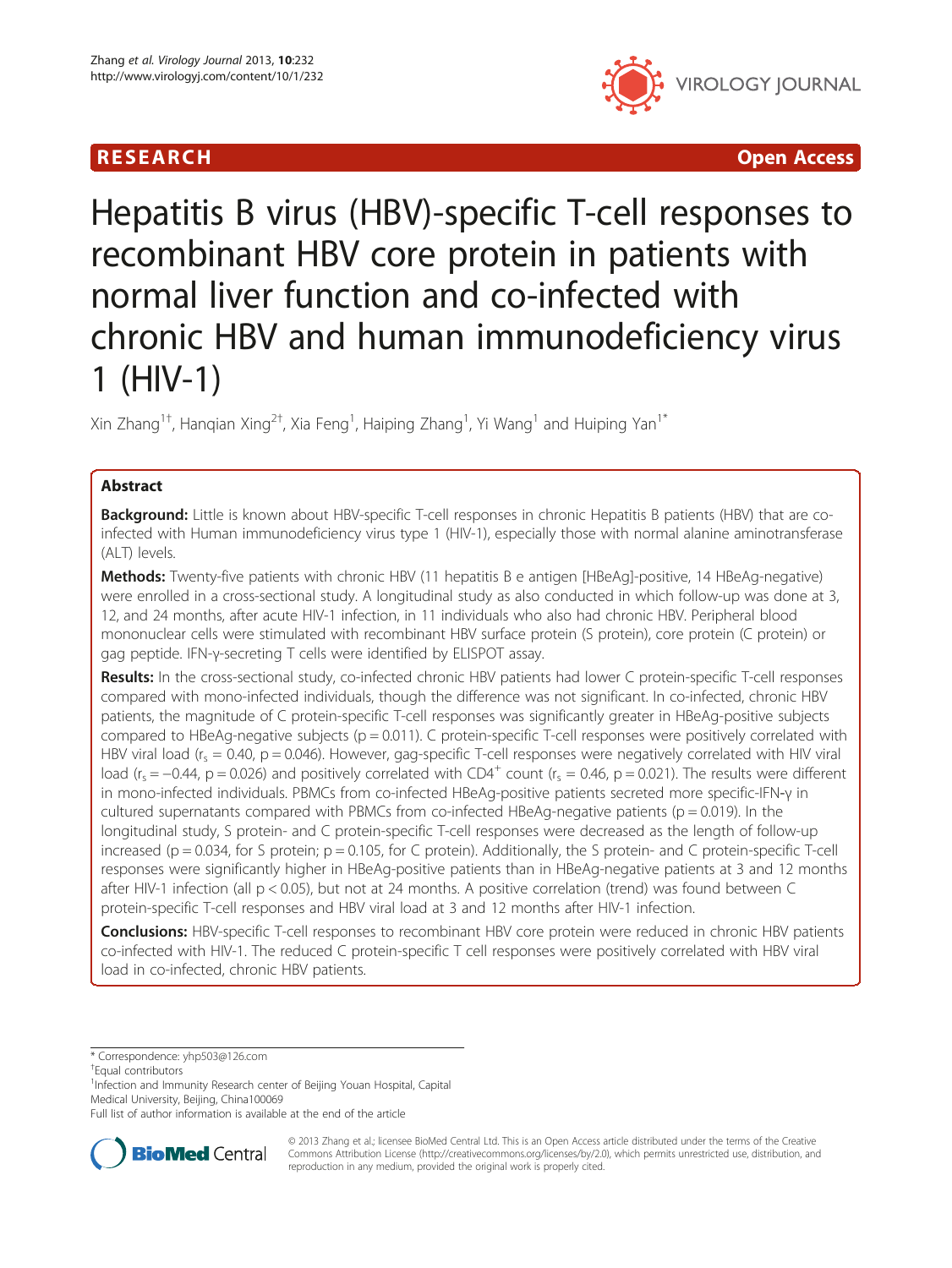## **RESEARCH CHINESE ARCH CHINESE ARCHITECT AND INCLUSIVE ARCHITECT ARCHITECT ARCHITECT ARCHITECT ARCHITECT ARCHITECT ARCHITECT ARCHITECT ARCHITECT ARCHITECT ARCHITECT ARCHITECT ARCHITECT ARCHITECT ARCHITECT ARCHITECT ARC**



# Hepatitis B virus (HBV)-specific T-cell responses to recombinant HBV core protein in patients with normal liver function and co-infected with chronic HBV and human immunodeficiency virus 1 (HIV-1)

Xin Zhang $^{1\dagger}$ , Hanqian Xing $^{2\dagger}$ , Xia Feng $^{1}$ , Haiping Zhang $^{1}$ , Yi Wang $^{1}$  and Huiping Yan $^{1*}$ 

## Abstract

Background: Little is known about HBV-specific T-cell responses in chronic Hepatitis B patients (HBV) that are coinfected with Human immunodeficiency virus type 1 (HIV-1), especially those with normal alanine aminotransferase (ALT) levels.

Methods: Twenty-five patients with chronic HBV (11 hepatitis B e antigen [HBeAg]-positive, 14 HBeAg-negative) were enrolled in a cross-sectional study. A longitudinal study as also conducted in which follow-up was done at 3, 12, and 24 months, after acute HIV-1 infection, in 11 individuals who also had chronic HBV. Peripheral blood mononuclear cells were stimulated with recombinant HBV surface protein (S protein), core protein (C protein) or gag peptide. IFN-γ-secreting T cells were identified by ELISPOT assay.

Results: In the cross-sectional study, co-infected chronic HBV patients had lower C protein-specific T-cell responses compared with mono-infected individuals, though the difference was not significant. In co-infected, chronic HBV patients, the magnitude of C protein-specific T-cell responses was significantly greater in HBeAg-positive subjects compared to HBeAg-negative subjects ( $p = 0.011$ ). C protein-specific T-cell responses were positively correlated with HBV viral load ( $r_s = 0.40$ , p = 0.046). However, gag-specific T-cell responses were negatively correlated with HIV viral load ( $r_s = -0.44$ , p = 0.026) and positively correlated with CD4<sup>+</sup> count ( $r_s = 0.46$ , p = 0.021). The results were different in mono-infected individuals. PBMCs from co-infected HBeAg-positive patients secreted more specific-IFN-γ in cultured supernatants compared with PBMCs from co-infected HBeAg-negative patients ( $p = 0.019$ ). In the longitudinal study, S protein- and C protein-specific T-cell responses were decreased as the length of follow-up increased ( $p = 0.034$ , for S protein;  $p = 0.105$ , for C protein). Additionally, the S protein- and C protein-specific T-cell responses were significantly higher in HBeAg-positive patients than in HBeAg-negative patients at 3 and 12 months after HIV-1 infection (all p < 0.05), but not at 24 months. A positive correlation (trend) was found between C protein-specific T-cell responses and HBV viral load at 3 and 12 months after HIV-1 infection.

**Conclusions:** HBV-specific T-cell responses to recombinant HBV core protein were reduced in chronic HBV patients co-infected with HIV-1. The reduced C protein-specific T cell responses were positively correlated with HBV viral load in co-infected, chronic HBV patients.

\* Correspondence: [yhp503@126.com](mailto:yhp503@126.com) †

Equal contributors

<sup>1</sup>Infection and Immunity Research center of Beijing Youan Hospital, Capital Medical University, Beijing, China100069

Full list of author information is available at the end of the article



© 2013 Zhang et al.; licensee BioMed Central Ltd. This is an Open Access article distributed under the terms of the Creative Commons Attribution License [\(http://creativecommons.org/licenses/by/2.0\)](http://creativecommons.org/licenses/by/2.0), which permits unrestricted use, distribution, and reproduction in any medium, provided the original work is properly cited.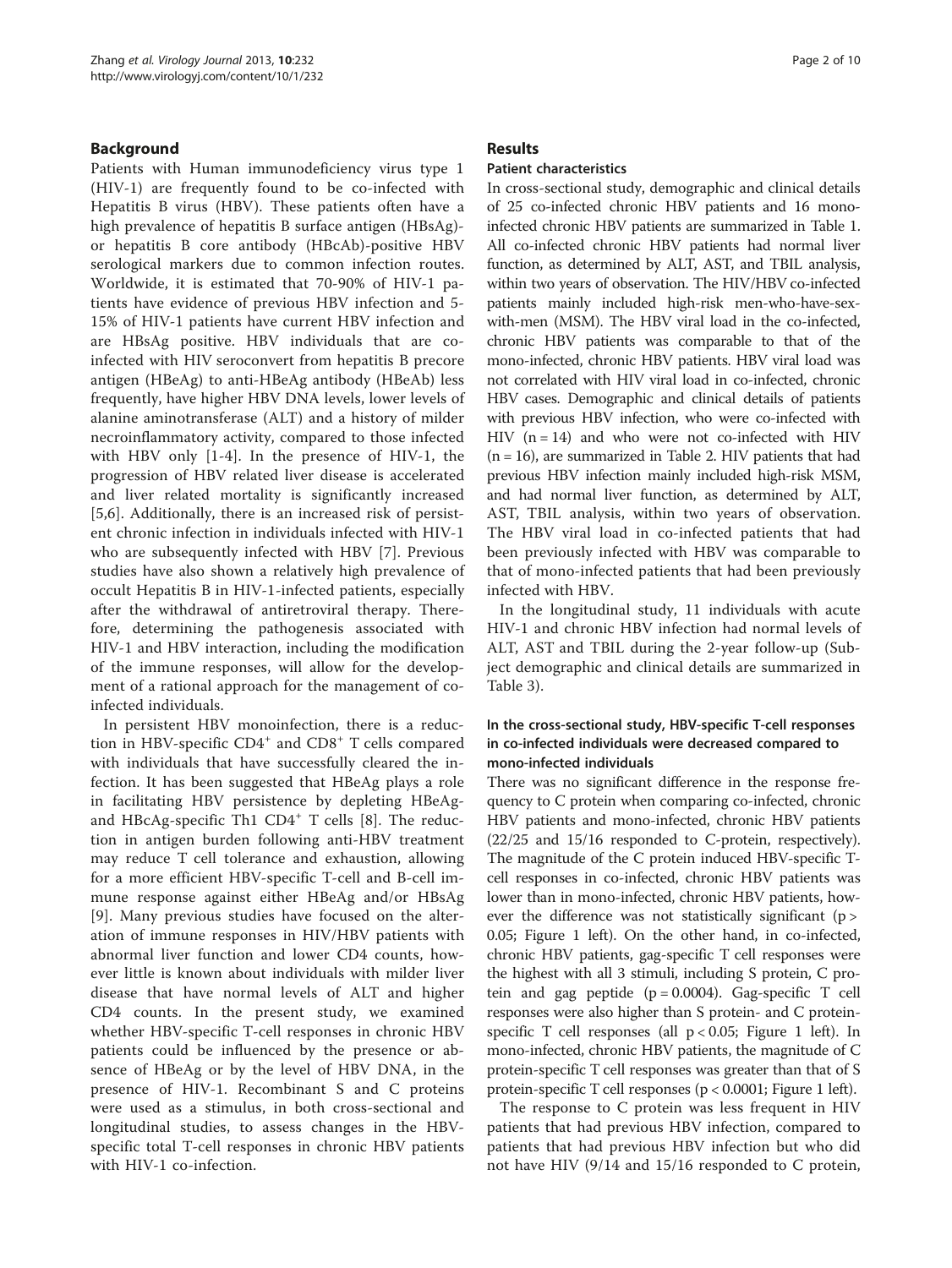### Background

Patients with Human immunodeficiency virus type 1 (HIV-1) are frequently found to be co-infected with Hepatitis B virus (HBV). These patients often have a high prevalence of hepatitis B surface antigen (HBsAg) or hepatitis B core antibody (HBcAb)-positive HBV serological markers due to common infection routes. Worldwide, it is estimated that 70-90% of HIV-1 patients have evidence of previous HBV infection and 5- 15% of HIV-1 patients have current HBV infection and are HBsAg positive. HBV individuals that are coinfected with HIV seroconvert from hepatitis B precore antigen (HBeAg) to anti-HBeAg antibody (HBeAb) less frequently, have higher HBV DNA levels, lower levels of alanine aminotransferase (ALT) and a history of milder necroinflammatory activity, compared to those infected with HBV only [[1](#page-8-0)-[4\]](#page-8-0). In the presence of HIV-1, the progression of HBV related liver disease is accelerated and liver related mortality is significantly increased [[5,6](#page-8-0)]. Additionally, there is an increased risk of persistent chronic infection in individuals infected with HIV-1 who are subsequently infected with HBV [\[7](#page-8-0)]. Previous studies have also shown a relatively high prevalence of occult Hepatitis B in HIV-1-infected patients, especially after the withdrawal of antiretroviral therapy. Therefore, determining the pathogenesis associated with HIV-1 and HBV interaction, including the modification of the immune responses, will allow for the development of a rational approach for the management of coinfected individuals.

In persistent HBV monoinfection, there is a reduction in HBV-specific CD4<sup>+</sup> and CD8<sup>+</sup> T cells compared with individuals that have successfully cleared the infection. It has been suggested that HBeAg plays a role in facilitating HBV persistence by depleting HBeAg-and HBcAg-specific Th1 CD4<sup>+</sup> T cells [\[8](#page-8-0)]. The reduction in antigen burden following anti-HBV treatment may reduce T cell tolerance and exhaustion, allowing for a more efficient HBV-specific T-cell and B-cell immune response against either HBeAg and/or HBsAg [[9\]](#page-8-0). Many previous studies have focused on the alteration of immune responses in HIV/HBV patients with abnormal liver function and lower CD4 counts, however little is known about individuals with milder liver disease that have normal levels of ALT and higher CD4 counts. In the present study, we examined whether HBV-specific T-cell responses in chronic HBV patients could be influenced by the presence or absence of HBeAg or by the level of HBV DNA, in the presence of HIV-1. Recombinant S and C proteins were used as a stimulus, in both cross-sectional and longitudinal studies, to assess changes in the HBVspecific total T-cell responses in chronic HBV patients with HIV-1 co-infection.

#### Results

#### Patient characteristics

In cross-sectional study, demographic and clinical details of 25 co-infected chronic HBV patients and 16 monoinfected chronic HBV patients are summarized in Table [1](#page-2-0). All co-infected chronic HBV patients had normal liver function, as determined by ALT, AST, and TBIL analysis, within two years of observation. The HIV/HBV co-infected patients mainly included high-risk men-who-have-sexwith-men (MSM). The HBV viral load in the co-infected, chronic HBV patients was comparable to that of the mono-infected, chronic HBV patients. HBV viral load was not correlated with HIV viral load in co-infected, chronic HBV cases. Demographic and clinical details of patients with previous HBV infection, who were co-infected with HIV  $(n = 14)$  and who were not co-infected with HIV  $(n = 16)$ , are summarized in Table [2](#page-2-0). HIV patients that had previous HBV infection mainly included high-risk MSM, and had normal liver function, as determined by ALT, AST, TBIL analysis, within two years of observation. The HBV viral load in co-infected patients that had been previously infected with HBV was comparable to that of mono-infected patients that had been previously infected with HBV.

In the longitudinal study, 11 individuals with acute HIV-1 and chronic HBV infection had normal levels of ALT, AST and TBIL during the 2-year follow-up (Subject demographic and clinical details are summarized in Table [3\)](#page-3-0).

## In the cross-sectional study, HBV-specific T-cell responses in co-infected individuals were decreased compared to mono-infected individuals

There was no significant difference in the response frequency to C protein when comparing co-infected, chronic HBV patients and mono-infected, chronic HBV patients (22/25 and 15/16 responded to C-protein, respectively). The magnitude of the C protein induced HBV-specific Tcell responses in co-infected, chronic HBV patients was lower than in mono-infected, chronic HBV patients, however the difference was not statistically significant ( $p$  > 0.05; Figure [1](#page-3-0) left). On the other hand, in co-infected, chronic HBV patients, gag-specific T cell responses were the highest with all 3 stimuli, including S protein, C protein and gag peptide  $(p = 0.0004)$ . Gag-specific T cell responses were also higher than S protein- and C proteinspecific T cell responses (all p < 0.05; Figure [1](#page-3-0) left). In mono-infected, chronic HBV patients, the magnitude of C protein-specific T cell responses was greater than that of S protein-specific T cell responses (p < 0.0001; Figure [1](#page-3-0) left).

The response to C protein was less frequent in HIV patients that had previous HBV infection, compared to patients that had previous HBV infection but who did not have HIV (9/14 and 15/16 responded to C protein,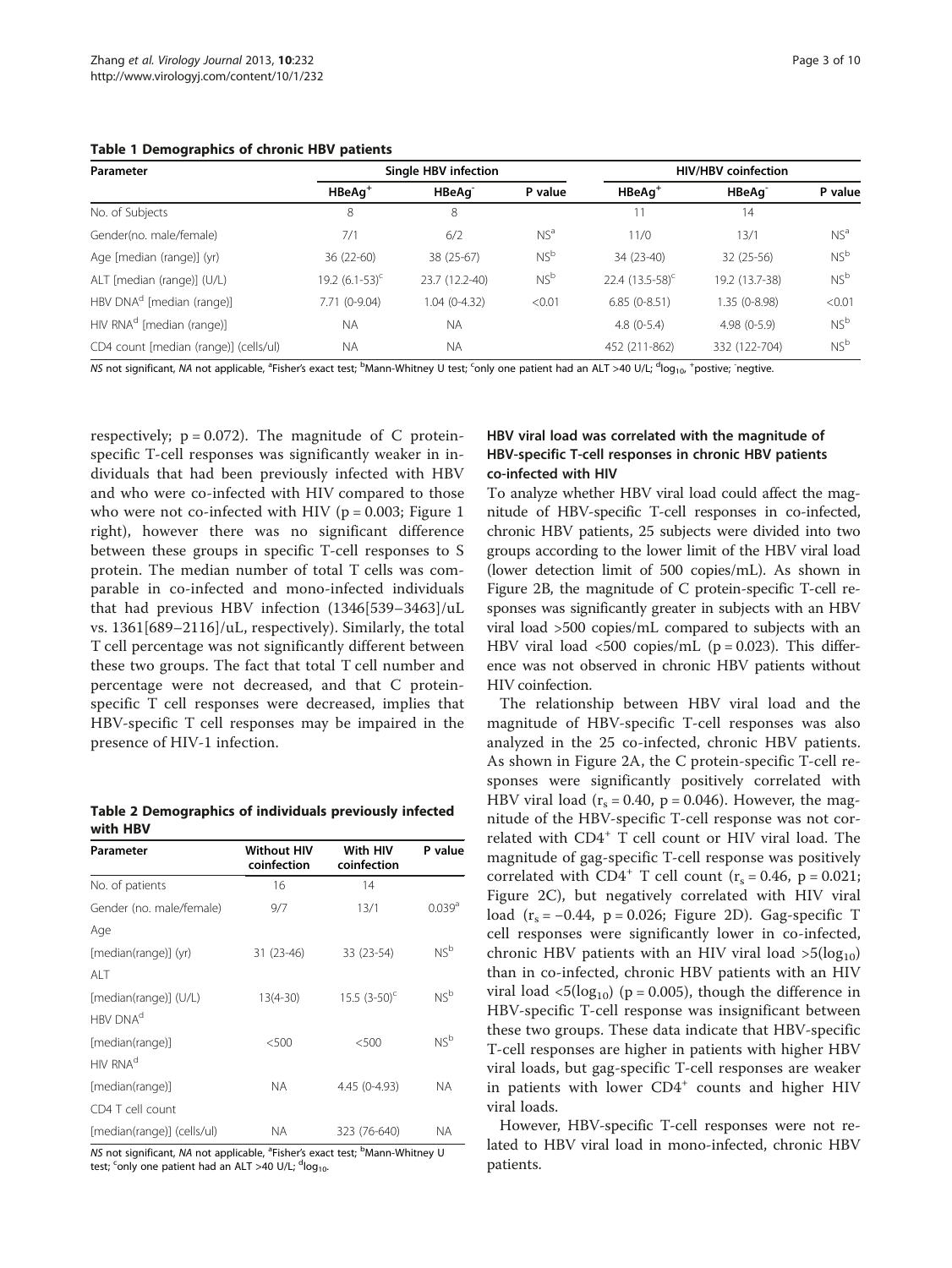<span id="page-2-0"></span>

|  | Table 1 Demographics of chronic HBV patients |  |  |  |
|--|----------------------------------------------|--|--|--|
|--|----------------------------------------------|--|--|--|

| Parameter                             |                     | <b>Single HBV infection</b> | <b>HIV/HBV</b> coinfection |                      |                    |                 |
|---------------------------------------|---------------------|-----------------------------|----------------------------|----------------------|--------------------|-----------------|
|                                       | $HBeAq^+$           | HBeAq <sup>-</sup>          | P value                    | $HBeAq^+$            | HBeAg <sup>-</sup> | P value         |
| No. of Subjects                       | 8                   | 8                           |                            | 11                   | 14                 |                 |
| Gender(no. male/female)               | 7/1                 | 6/2                         | NS <sup>a</sup>            | 11/0                 | 13/1               | NS <sup>a</sup> |
| Age [median (range)] (yr)             | 36 (22-60)          | 38 (25-67)                  | NS <sup>b</sup>            | 34 (23-40)           | 32 (25-56)         | NS <sup>b</sup> |
| ALT [median (range)] (U/L)            | 19.2 $(6.1-53)^{c}$ | 23.7 (12.2-40)              | NS <sup>b</sup>            | 22.4 $(13.5-58)^{c}$ | 19.2 (13.7-38)     | NS <sup>b</sup> |
| HBV DNA <sup>d</sup> [median (range)] | 7.71 (0-9.04)       | 1.04 (0-4.32)               | < 0.01                     | $6.85(0-8.51)$       | 1.35 (0-8.98)      | < 0.01          |
| HIV RNA <sup>d</sup> [median (range)] | <b>NA</b>           | <b>NA</b>                   |                            | $4.8(0-5.4)$         | $4.98(0-5.9)$      | NS <sup>b</sup> |
| CD4 count [median (range)] (cells/ul) | <b>NA</b>           | <b>NA</b>                   |                            | 452 (211-862)        | 332 (122-704)      | NS <sup>b</sup> |

NS not significant, NA not applicable, <sup>a</sup>Fisher's exact test; <sup>b</sup>Mann-Whitney U test; <sup>c</sup>only one patient had an ALT >40 U/L; <sup>d</sup>log<sub>10</sub>, \*postive; <sup>-</sup>negtive.

respectively;  $p = 0.072$ ). The magnitude of C proteinspecific T-cell responses was significantly weaker in individuals that had been previously infected with HBV and who were co-infected with HIV compared to those who were not co-infected with HIV ( $p = 0.003$ ; Figure [1](#page-3-0) right), however there was no significant difference between these groups in specific T-cell responses to S protein. The median number of total T cells was comparable in co-infected and mono-infected individuals that had previous HBV infection (1346[539–3463]/uL vs. 1361[689–2116]/uL, respectively). Similarly, the total T cell percentage was not significantly different between these two groups. The fact that total T cell number and percentage were not decreased, and that C proteinspecific T cell responses were decreased, implies that HBV-specific T cell responses may be impaired in the presence of HIV-1 infection.

Table 2 Demographics of individuals previously infected with HBV

| Parameter                  | <b>Without HIV</b><br>coinfection | With HIV<br>coinfection | P value              |  |
|----------------------------|-----------------------------------|-------------------------|----------------------|--|
| No. of patients            | 16                                | 14                      |                      |  |
| Gender (no. male/female)   | 9/7                               | 13/1                    | $0.039$ <sup>a</sup> |  |
| Age                        |                                   |                         |                      |  |
| [median(range)] (yr)       | 31 (23-46)                        | 33 (23-54)              | NS <sup>b</sup>      |  |
| AI T                       |                                   |                         |                      |  |
| [median(range)] (U/L)      | $13(4-30)$                        | $15.5(3-50)^{c}$        | NS <sup>b</sup>      |  |
| HBV DNA <sup>d</sup>       |                                   |                         |                      |  |
| [median(range)]            | < 500                             | < 500                   | NS <sup>b</sup>      |  |
| HIV RNA <sup>d</sup>       |                                   |                         |                      |  |
| [median(range)]            | <b>NA</b>                         | 4.45 (0-4.93)           | <b>NA</b>            |  |
| CD4 T cell count           |                                   |                         |                      |  |
| [median(range)] (cells/ul) | <b>NA</b>                         | 323 (76-640)            | <b>NA</b>            |  |

NS not significant, NA not applicable, <sup>a</sup>Fisher's exact test; <sup>b</sup>Mann-Whitney U test; <sup>c</sup>only one patient had an ALT >40 U/L; <sup>d</sup>log<sub>10</sub>.

## HBV viral load was correlated with the magnitude of HBV-specific T-cell responses in chronic HBV patients co-infected with HIV

To analyze whether HBV viral load could affect the magnitude of HBV-specific T-cell responses in co-infected, chronic HBV patients, 25 subjects were divided into two groups according to the lower limit of the HBV viral load (lower detection limit of 500 copies/mL). As shown in Figure [2B](#page-4-0), the magnitude of C protein-specific T-cell responses was significantly greater in subjects with an HBV viral load >500 copies/mL compared to subjects with an HBV viral load  $\langle 500 \text{ copies/mL}$  (p = 0.023). This difference was not observed in chronic HBV patients without HIV coinfection.

The relationship between HBV viral load and the magnitude of HBV-specific T-cell responses was also analyzed in the 25 co-infected, chronic HBV patients. As shown in Figure [2A](#page-4-0), the C protein-specific T-cell responses were significantly positively correlated with HBV viral load ( $r_s = 0.40$ ,  $p = 0.046$ ). However, the magnitude of the HBV-specific T-cell response was not correlated with CD4<sup>+</sup> T cell count or HIV viral load. The magnitude of gag-specific T-cell response was positively correlated with  $CD4^+$  T cell count ( $r_s = 0.46$ ,  $p = 0.021$ ; Figure [2C](#page-4-0)), but negatively correlated with HIV viral load  $(r_s = -0.44, p = 0.026;$  Figure [2](#page-4-0)D). Gag-specific T cell responses were significantly lower in co-infected, chronic HBV patients with an HIV viral load  $>5(log_{10})$ than in co-infected, chronic HBV patients with an HIV viral load  $\langle 5(\log_{10}) (p = 0.005)$ , though the difference in HBV-specific T-cell response was insignificant between these two groups. These data indicate that HBV-specific T-cell responses are higher in patients with higher HBV viral loads, but gag-specific T-cell responses are weaker in patients with lower CD4<sup>+</sup> counts and higher HIV viral loads.

However, HBV-specific T-cell responses were not related to HBV viral load in mono-infected, chronic HBV patients.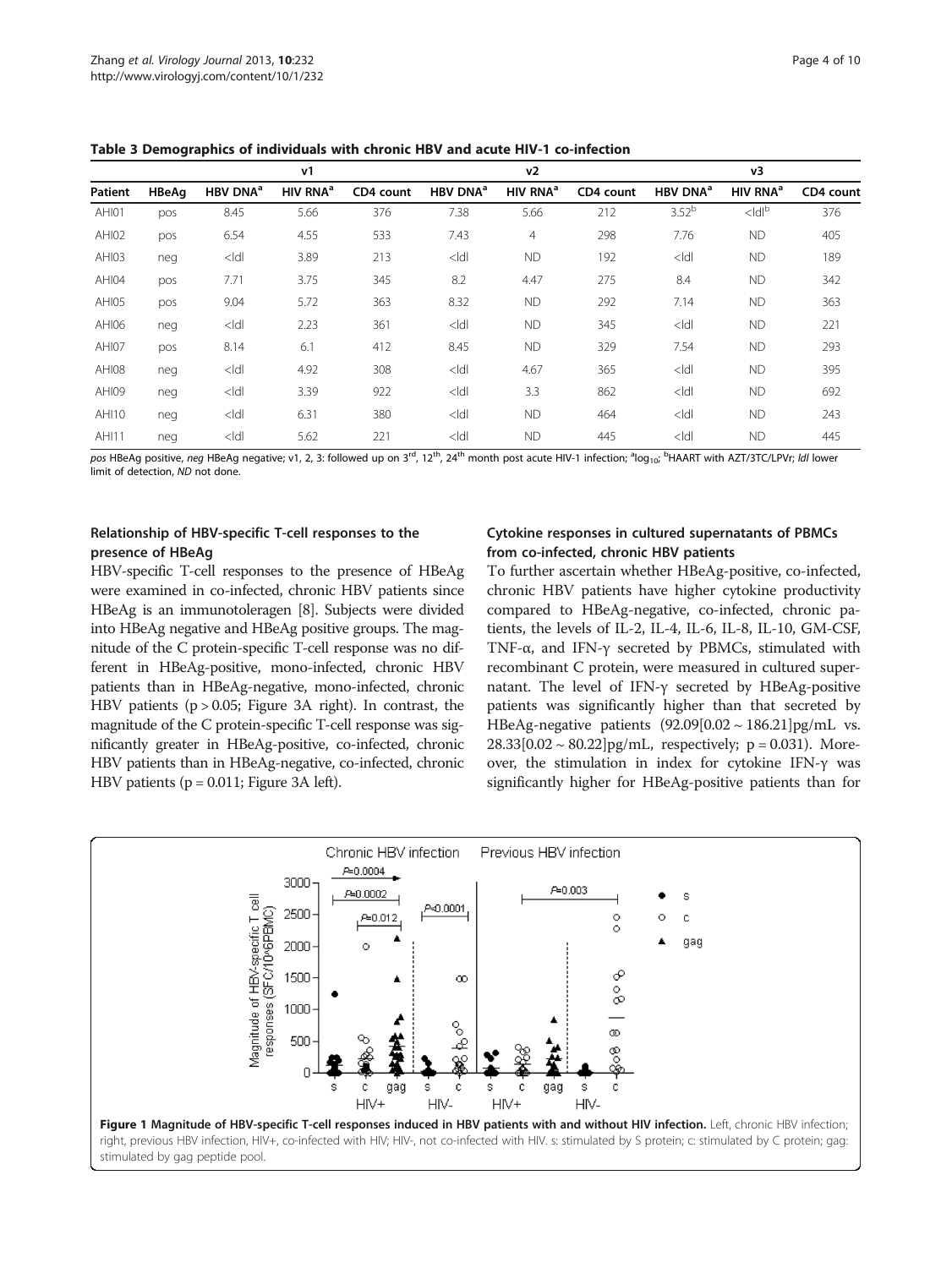|              |              |                      | v1                   |           |                      | v <sub>2</sub>       |           |                      | v3                   |           |
|--------------|--------------|----------------------|----------------------|-----------|----------------------|----------------------|-----------|----------------------|----------------------|-----------|
| Patient      | <b>HBeAg</b> | HBV DNA <sup>a</sup> | HIV RNA <sup>a</sup> | CD4 count | HBV DNA <sup>a</sup> | HIV RNA <sup>a</sup> | CD4 count | HBV DNA <sup>a</sup> | HIV RNA <sup>a</sup> | CD4 count |
| AHI01        | pos          | 8.45                 | 5.66                 | 376       | 7.38                 | 5.66                 | 212       | $3.52^{b}$           | $<$ ldl $b$          | 376       |
| AHI02        | pos          | 6.54                 | 4.55                 | 533       | 7.43                 | $\overline{4}$       | 298       | 7.76                 | <b>ND</b>            | 405       |
| AHI03        | neg          | $<$ ldl              | 3.89                 | 213       | $<$ ldl              | <b>ND</b>            | 192       | $<$ ldl              | <b>ND</b>            | 189       |
| AHI04        | pos          | 7.71                 | 3.75                 | 345       | 8.2                  | 4.47                 | 275       | 8.4                  | <b>ND</b>            | 342       |
| AHI05        | pos          | 9.04                 | 5.72                 | 363       | 8.32                 | <b>ND</b>            | 292       | 7.14                 | <b>ND</b>            | 363       |
| AHI06        | neg          | $<$ ldl              | 2.23                 | 361       | $<$ ldl              | <b>ND</b>            | 345       | $<$ ldl              | <b>ND</b>            | 221       |
| AHI07        | pos          | 8.14                 | 6.1                  | 412       | 8.45                 | <b>ND</b>            | 329       | 7.54                 | <b>ND</b>            | 293       |
| AHI08        | neg          | $<$ ldl              | 4.92                 | 308       | $<$ ldl              | 4.67                 | 365       | $<$ ldl              | <b>ND</b>            | 395       |
| AHI09        | neg          | $<$ ldl              | 3.39                 | 922       | $<$ ldl              | 3.3                  | 862       | $<$ Idl              | <b>ND</b>            | 692       |
| <b>AHI10</b> | neg          | $<$ ldl              | 6.31                 | 380       | $<$ ldl              | <b>ND</b>            | 464       | $<$ ldl              | <b>ND</b>            | 243       |
| <b>AHI11</b> | neg          | $<$ ldl              | 5.62                 | 221       | $<$ ldl              | <b>ND</b>            | 445       | $<$ ldl              | <b>ND</b>            | 445       |

<span id="page-3-0"></span>Table 3 Demographics of individuals with chronic HBV and acute HIV-1 co-infection

pos HBeAg positive, *neg* HBeAg negative; v1, 2, 3: followed up on 3<sup>rd</sup>, 12<sup>th</sup>, 24<sup>th</sup> month post acute HIV-1 infection; <sup>a</sup>log<sub>10</sub>; <sup>b</sup>HAART with AZT/3TC/LPVr; *ldl* lower limit of detection, ND not done.

## Relationship of HBV-specific T-cell responses to the presence of HBeAg

## Cytokine responses in cultured supernatants of PBMCs from co-infected, chronic HBV patients

HBV-specific T-cell responses to the presence of HBeAg were examined in co-infected, chronic HBV patients since HBeAg is an immunotoleragen [\[8](#page-8-0)]. Subjects were divided into HBeAg negative and HBeAg positive groups. The magnitude of the C protein-specific T-cell response was no different in HBeAg-positive, mono-infected, chronic HBV patients than in HBeAg-negative, mono-infected, chronic HBV patients ( $p > 0.05$ ; Figure [3A](#page-4-0) right). In contrast, the magnitude of the C protein-specific T-cell response was significantly greater in HBeAg-positive, co-infected, chronic HBV patients than in HBeAg-negative, co-infected, chronic HBV patients ( $p = 0.011$ ; Figure [3](#page-4-0)A left).

To further ascertain whether HBeAg-positive, co-infected, chronic HBV patients have higher cytokine productivity compared to HBeAg-negative, co-infected, chronic patients, the levels of IL-2, IL-4, IL-6, IL-8, IL-10, GM-CSF, TNF-α, and IFN-γ secreted by PBMCs, stimulated with recombinant C protein, were measured in cultured supernatant. The level of IFN-γ secreted by HBeAg-positive patients was significantly higher than that secreted by HBeAg-negative patients  $(92.09[0.02 \sim 186.21]$ pg/mL vs.  $28.33[0.02 \sim 80.22]$ pg/mL, respectively; p = 0.031). Moreover, the stimulation in index for cytokine IFN-γ was significantly higher for HBeAg-positive patients than for

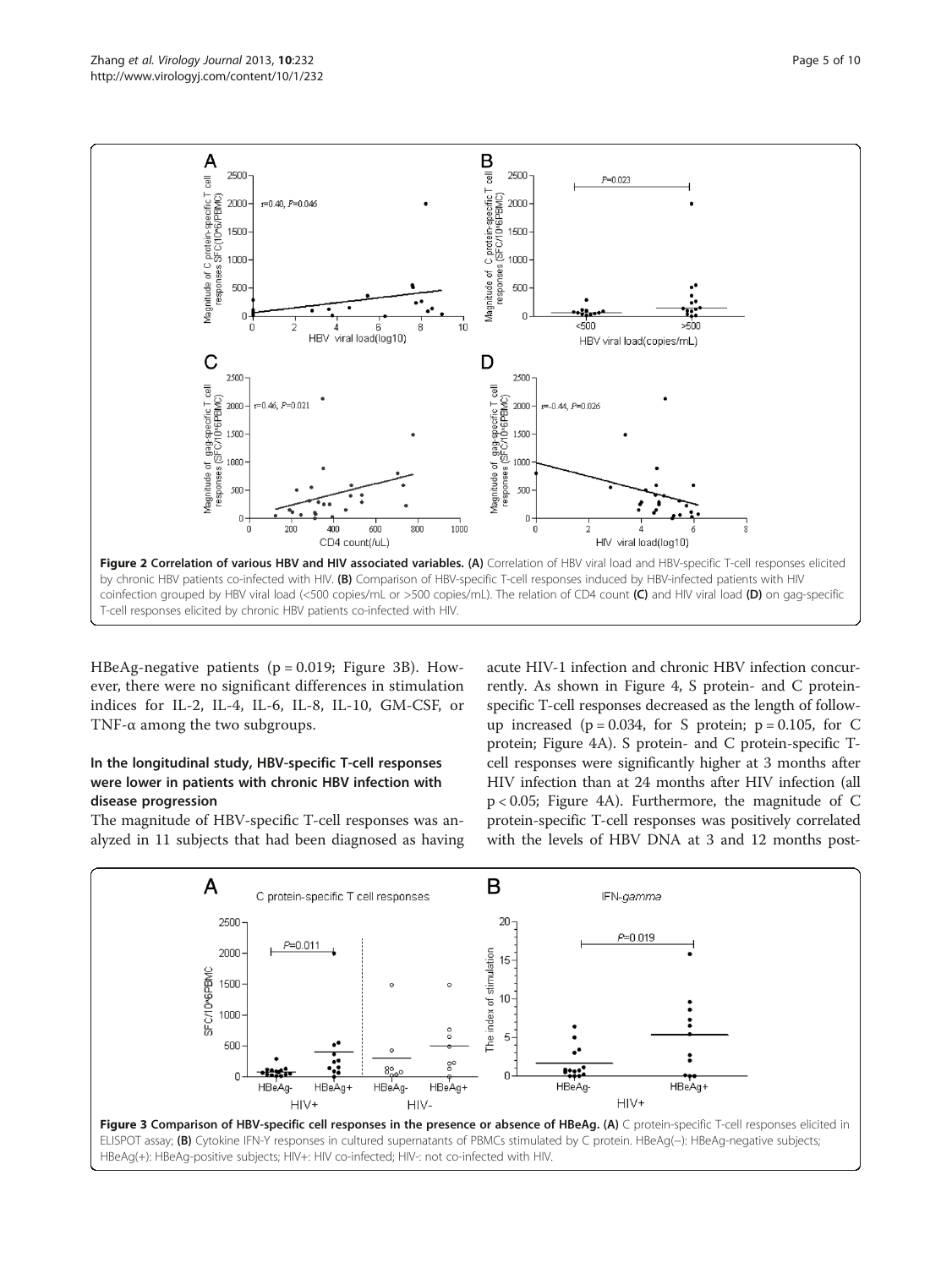<span id="page-4-0"></span>

HBeAg-negative patients  $(p = 0.019;$  Figure 3B). However, there were no significant differences in stimulation indices for IL-2, IL-4, IL-6, IL-8, IL-10, GM-CSF, or TNF-α among the two subgroups.

## In the longitudinal study, HBV-specific T-cell responses were lower in patients with chronic HBV infection with disease progression

The magnitude of HBV-specific T-cell responses was analyzed in 11 subjects that had been diagnosed as having

acute HIV-1 infection and chronic HBV infection concurrently. As shown in Figure [4,](#page-5-0) S protein- and C proteinspecific T-cell responses decreased as the length of followup increased ( $p = 0.034$ , for S protein;  $p = 0.105$ , for C protein; Figure [4](#page-5-0)A). S protein- and C protein-specific Tcell responses were significantly higher at 3 months after HIV infection than at 24 months after HIV infection (all p < 0.05; Figure [4](#page-5-0)A). Furthermore, the magnitude of C protein-specific T-cell responses was positively correlated with the levels of HBV DNA at 3 and 12 months post-

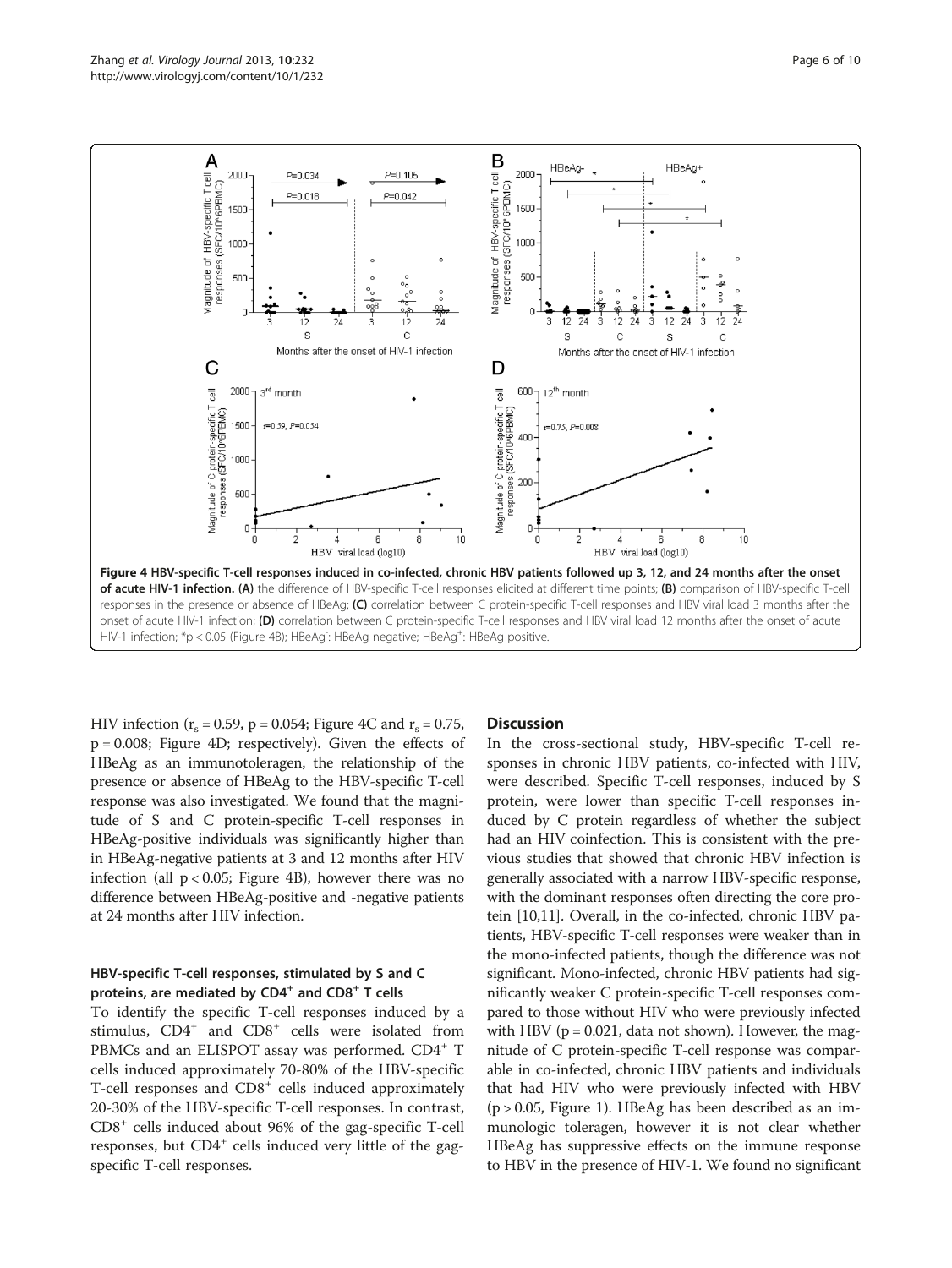<span id="page-5-0"></span>

HIV infection ( $r_s = 0.59$ , p = 0.054; Figure 4C and  $r_s = 0.75$ , p = 0.008; Figure 4D; respectively). Given the effects of HBeAg as an immunotoleragen, the relationship of the presence or absence of HBeAg to the HBV-specific T-cell response was also investigated. We found that the magnitude of S and C protein-specific T-cell responses in HBeAg-positive individuals was significantly higher than in HBeAg-negative patients at 3 and 12 months after HIV infection (all  $p < 0.05$ ; Figure 4B), however there was no difference between HBeAg-positive and -negative patients at 24 months after HIV infection.

## HBV-specific T-cell responses, stimulated by S and C proteins, are mediated by  $CD4^+$  and  $CD8^+$  T cells

To identify the specific T-cell responses induced by a stimulus,  $CD4^+$  and  $CD8^+$  cells were isolated from PBMCs and an ELISPOT assay was performed. CD4<sup>+</sup> T cells induced approximately 70-80% of the HBV-specific T-cell responses and  $CDS<sup>+</sup>$  cells induced approximately 20-30% of the HBV-specific T-cell responses. In contrast, CD8<sup>+</sup> cells induced about 96% of the gag-specific T-cell responses, but  $CD4^+$  cells induced very little of the gagspecific T-cell responses.

### **Discussion**

In the cross-sectional study, HBV-specific T-cell responses in chronic HBV patients, co-infected with HIV, were described. Specific T-cell responses, induced by S protein, were lower than specific T-cell responses induced by C protein regardless of whether the subject had an HIV coinfection. This is consistent with the previous studies that showed that chronic HBV infection is generally associated with a narrow HBV-specific response, with the dominant responses often directing the core protein [\[10,11\]](#page-8-0). Overall, in the co-infected, chronic HBV patients, HBV-specific T-cell responses were weaker than in the mono-infected patients, though the difference was not significant. Mono-infected, chronic HBV patients had significantly weaker C protein-specific T-cell responses compared to those without HIV who were previously infected with HBV ( $p = 0.021$ , data not shown). However, the magnitude of C protein-specific T-cell response was comparable in co-infected, chronic HBV patients and individuals that had HIV who were previously infected with HBV  $(p > 0.05,$  Figure [1\)](#page-3-0). HBeAg has been described as an immunologic toleragen, however it is not clear whether HBeAg has suppressive effects on the immune response to HBV in the presence of HIV-1. We found no significant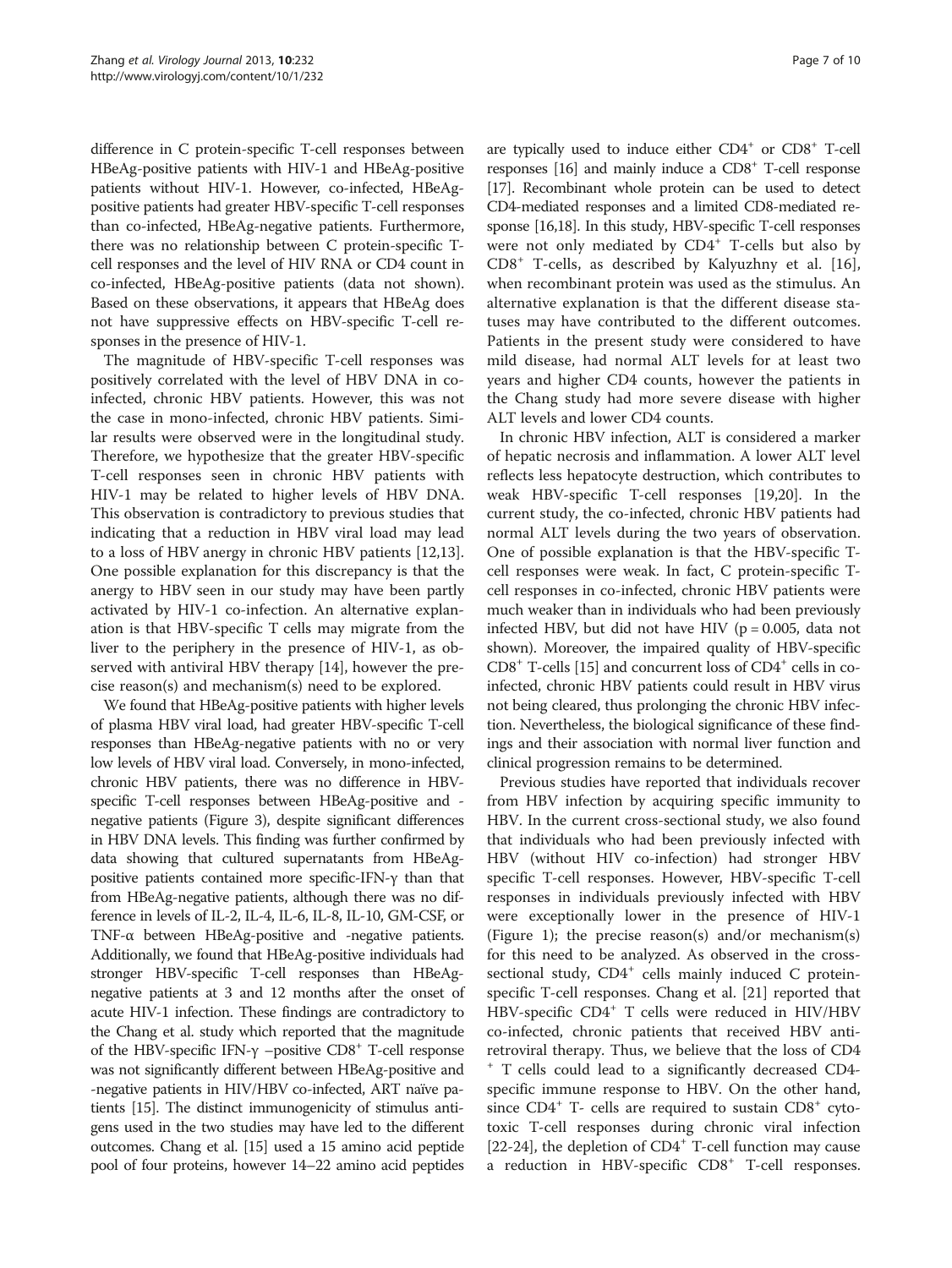difference in C protein-specific T-cell responses between HBeAg-positive patients with HIV-1 and HBeAg-positive patients without HIV-1. However, co-infected, HBeAgpositive patients had greater HBV-specific T-cell responses than co-infected, HBeAg-negative patients. Furthermore, there was no relationship between C protein-specific Tcell responses and the level of HIV RNA or CD4 count in co-infected, HBeAg-positive patients (data not shown). Based on these observations, it appears that HBeAg does not have suppressive effects on HBV-specific T-cell responses in the presence of HIV-1.

The magnitude of HBV-specific T-cell responses was positively correlated with the level of HBV DNA in coinfected, chronic HBV patients. However, this was not the case in mono-infected, chronic HBV patients. Similar results were observed were in the longitudinal study. Therefore, we hypothesize that the greater HBV-specific T-cell responses seen in chronic HBV patients with HIV-1 may be related to higher levels of HBV DNA. This observation is contradictory to previous studies that indicating that a reduction in HBV viral load may lead to a loss of HBV anergy in chronic HBV patients [\[12,13](#page-8-0)]. One possible explanation for this discrepancy is that the anergy to HBV seen in our study may have been partly activated by HIV-1 co-infection. An alternative explanation is that HBV-specific T cells may migrate from the liver to the periphery in the presence of HIV-1, as observed with antiviral HBV therapy [[14](#page-9-0)], however the precise reason(s) and mechanism(s) need to be explored.

We found that HBeAg-positive patients with higher levels of plasma HBV viral load, had greater HBV-specific T-cell responses than HBeAg-negative patients with no or very low levels of HBV viral load. Conversely, in mono-infected, chronic HBV patients, there was no difference in HBVspecific T-cell responses between HBeAg-positive and negative patients (Figure [3](#page-4-0)), despite significant differences in HBV DNA levels. This finding was further confirmed by data showing that cultured supernatants from HBeAgpositive patients contained more specific-IFN-γ than that from HBeAg-negative patients, although there was no difference in levels of IL-2, IL-4, IL-6, IL-8, IL-10, GM-CSF, or TNF-α between HBeAg-positive and -negative patients. Additionally, we found that HBeAg-positive individuals had stronger HBV-specific T-cell responses than HBeAgnegative patients at 3 and 12 months after the onset of acute HIV-1 infection. These findings are contradictory to the Chang et al. study which reported that the magnitude of the HBV-specific IFN- $\gamma$  –positive CD8<sup>+</sup> T-cell response was not significantly different between HBeAg-positive and -negative patients in HIV/HBV co-infected, ART naïve patients [\[15\]](#page-9-0). The distinct immunogenicity of stimulus antigens used in the two studies may have led to the different outcomes. Chang et al. [\[15\]](#page-9-0) used a 15 amino acid peptide pool of four proteins, however 14–22 amino acid peptides

are typically used to induce either  $CD4^+$  or  $CD8^+$  T-cell responses  $[16]$  and mainly induce a  $CDS<sup>+</sup>$  T-cell response [[17](#page-9-0)]. Recombinant whole protein can be used to detect CD4-mediated responses and a limited CD8-mediated response [\[16,18](#page-9-0)]. In this study, HBV-specific T-cell responses were not only mediated by  $CD4^+$  T-cells but also by CD8<sup>+</sup> T-cells, as described by Kalyuzhny et al. [\[16](#page-9-0)], when recombinant protein was used as the stimulus. An alternative explanation is that the different disease statuses may have contributed to the different outcomes. Patients in the present study were considered to have mild disease, had normal ALT levels for at least two years and higher CD4 counts, however the patients in the Chang study had more severe disease with higher ALT levels and lower CD4 counts.

In chronic HBV infection, ALT is considered a marker of hepatic necrosis and inflammation. A lower ALT level reflects less hepatocyte destruction, which contributes to weak HBV-specific T-cell responses [[19,20\]](#page-9-0). In the current study, the co-infected, chronic HBV patients had normal ALT levels during the two years of observation. One of possible explanation is that the HBV-specific Tcell responses were weak. In fact, C protein-specific Tcell responses in co-infected, chronic HBV patients were much weaker than in individuals who had been previously infected HBV, but did not have HIV ( $p = 0.005$ , data not shown). Moreover, the impaired quality of HBV-specific  $CD8<sup>+</sup>$  T-cells [\[15](#page-9-0)] and concurrent loss of  $CD4<sup>+</sup>$  cells in coinfected, chronic HBV patients could result in HBV virus not being cleared, thus prolonging the chronic HBV infection. Nevertheless, the biological significance of these findings and their association with normal liver function and clinical progression remains to be determined.

Previous studies have reported that individuals recover from HBV infection by acquiring specific immunity to HBV. In the current cross-sectional study, we also found that individuals who had been previously infected with HBV (without HIV co-infection) had stronger HBV specific T-cell responses. However, HBV-specific T-cell responses in individuals previously infected with HBV were exceptionally lower in the presence of HIV-1 (Figure [1\)](#page-3-0); the precise reason(s) and/or mechanism(s) for this need to be analyzed. As observed in the crosssectional study,  $CD4^+$  cells mainly induced C proteinspecific T-cell responses. Chang et al. [[21](#page-9-0)] reported that HBV-specific CD4<sup>+</sup> T cells were reduced in HIV/HBV co-infected, chronic patients that received HBV antiretroviral therapy. Thus, we believe that the loss of CD4 <sup>+</sup> T cells could lead to a significantly decreased CD4 specific immune response to HBV. On the other hand, since  $CD4^+$  T- cells are required to sustain  $CD8^+$  cytotoxic T-cell responses during chronic viral infection [[22-24](#page-9-0)], the depletion of  $CD4^+$  T-cell function may cause a reduction in HBV-specific CD8<sup>+</sup> T-cell responses.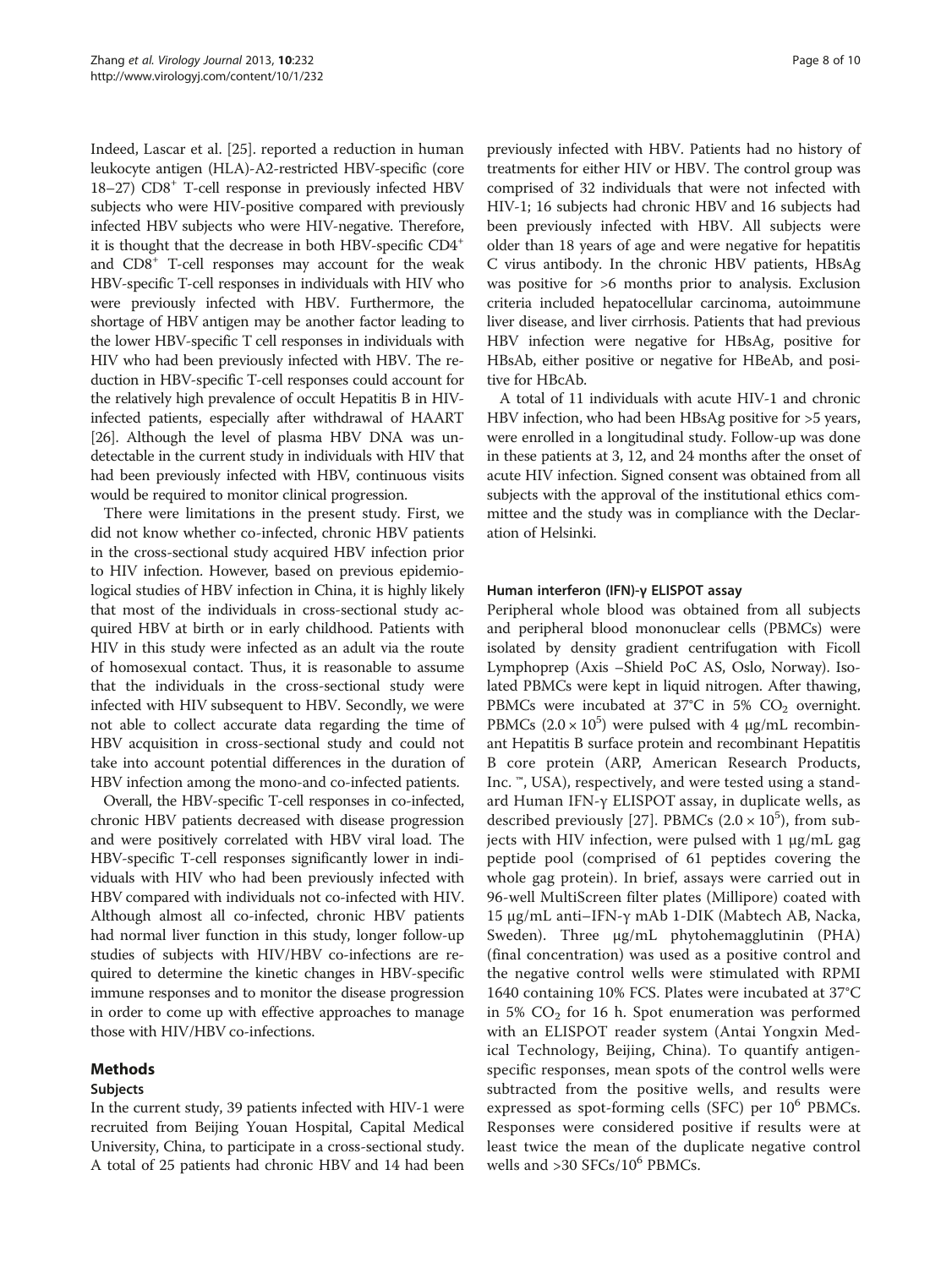Indeed, Lascar et al. [\[25\]](#page-9-0). reported a reduction in human leukocyte antigen (HLA)-A2-restricted HBV-specific (core 18–27) CD8+ T-cell response in previously infected HBV subjects who were HIV-positive compared with previously infected HBV subjects who were HIV-negative. Therefore, it is thought that the decrease in both HBV-specific CD4+ and CD8+ T-cell responses may account for the weak HBV-specific T-cell responses in individuals with HIV who were previously infected with HBV. Furthermore, the shortage of HBV antigen may be another factor leading to the lower HBV-specific T cell responses in individuals with HIV who had been previously infected with HBV. The reduction in HBV-specific T-cell responses could account for the relatively high prevalence of occult Hepatitis B in HIVinfected patients, especially after withdrawal of HAART [[26](#page-9-0)]. Although the level of plasma HBV DNA was undetectable in the current study in individuals with HIV that had been previously infected with HBV, continuous visits would be required to monitor clinical progression.

There were limitations in the present study. First, we did not know whether co-infected, chronic HBV patients in the cross-sectional study acquired HBV infection prior to HIV infection. However, based on previous epidemiological studies of HBV infection in China, it is highly likely that most of the individuals in cross-sectional study acquired HBV at birth or in early childhood. Patients with HIV in this study were infected as an adult via the route of homosexual contact. Thus, it is reasonable to assume that the individuals in the cross-sectional study were infected with HIV subsequent to HBV. Secondly, we were not able to collect accurate data regarding the time of HBV acquisition in cross-sectional study and could not take into account potential differences in the duration of HBV infection among the mono-and co-infected patients.

Overall, the HBV-specific T-cell responses in co-infected, chronic HBV patients decreased with disease progression and were positively correlated with HBV viral load. The HBV-specific T-cell responses significantly lower in individuals with HIV who had been previously infected with HBV compared with individuals not co-infected with HIV. Although almost all co-infected, chronic HBV patients had normal liver function in this study, longer follow-up studies of subjects with HIV/HBV co-infections are required to determine the kinetic changes in HBV-specific immune responses and to monitor the disease progression in order to come up with effective approaches to manage those with HIV/HBV co-infections.

### Methods

### Subjects

In the current study, 39 patients infected with HIV-1 were recruited from Beijing Youan Hospital, Capital Medical University, China, to participate in a cross-sectional study. A total of 25 patients had chronic HBV and 14 had been

previously infected with HBV. Patients had no history of treatments for either HIV or HBV. The control group was comprised of 32 individuals that were not infected with HIV-1; 16 subjects had chronic HBV and 16 subjects had been previously infected with HBV. All subjects were older than 18 years of age and were negative for hepatitis C virus antibody. In the chronic HBV patients, HBsAg was positive for >6 months prior to analysis. Exclusion criteria included hepatocellular carcinoma, autoimmune liver disease, and liver cirrhosis. Patients that had previous HBV infection were negative for HBsAg, positive for HBsAb, either positive or negative for HBeAb, and positive for HBcAb.

A total of 11 individuals with acute HIV-1 and chronic HBV infection, who had been HBsAg positive for >5 years, were enrolled in a longitudinal study. Follow-up was done in these patients at 3, 12, and 24 months after the onset of acute HIV infection. Signed consent was obtained from all subjects with the approval of the institutional ethics committee and the study was in compliance with the Declaration of Helsinki.

### Human interferon (IFN)-γ ELISPOT assay

Peripheral whole blood was obtained from all subjects and peripheral blood mononuclear cells (PBMCs) were isolated by density gradient centrifugation with Ficoll Lymphoprep (Axis –Shield PoC AS, Oslo, Norway). Isolated PBMCs were kept in liquid nitrogen. After thawing, PBMCs were incubated at  $37^{\circ}$ C in 5% CO<sub>2</sub> overnight. PBMCs  $(2.0 \times 10^5)$  were pulsed with 4 µg/mL recombinant Hepatitis B surface protein and recombinant Hepatitis B core protein (ARP, American Research Products, Inc. ™, USA), respectively, and were tested using a standard Human IFN-γ ELISPOT assay, in duplicate wells, as described previously [\[27](#page-9-0)]. PBMCs  $(2.0 \times 10^5)$ , from subjects with HIV infection, were pulsed with 1 μg/mL gag peptide pool (comprised of 61 peptides covering the whole gag protein). In brief, assays were carried out in 96-well MultiScreen filter plates (Millipore) coated with 15 μg/mL anti–IFN-γ mAb 1-DIK (Mabtech AB, Nacka, Sweden). Three μg/mL phytohemagglutinin (PHA) (final concentration) was used as a positive control and the negative control wells were stimulated with RPMI 1640 containing 10% FCS. Plates were incubated at 37°C in 5%  $CO<sub>2</sub>$  for 16 h. Spot enumeration was performed with an ELISPOT reader system (Antai Yongxin Medical Technology, Beijing, China). To quantify antigenspecific responses, mean spots of the control wells were subtracted from the positive wells, and results were expressed as spot-forming cells (SFC) per  $10^6$  PBMCs. Responses were considered positive if results were at least twice the mean of the duplicate negative control wells and  $>30$  SFCs/10<sup>6</sup> PBMCs.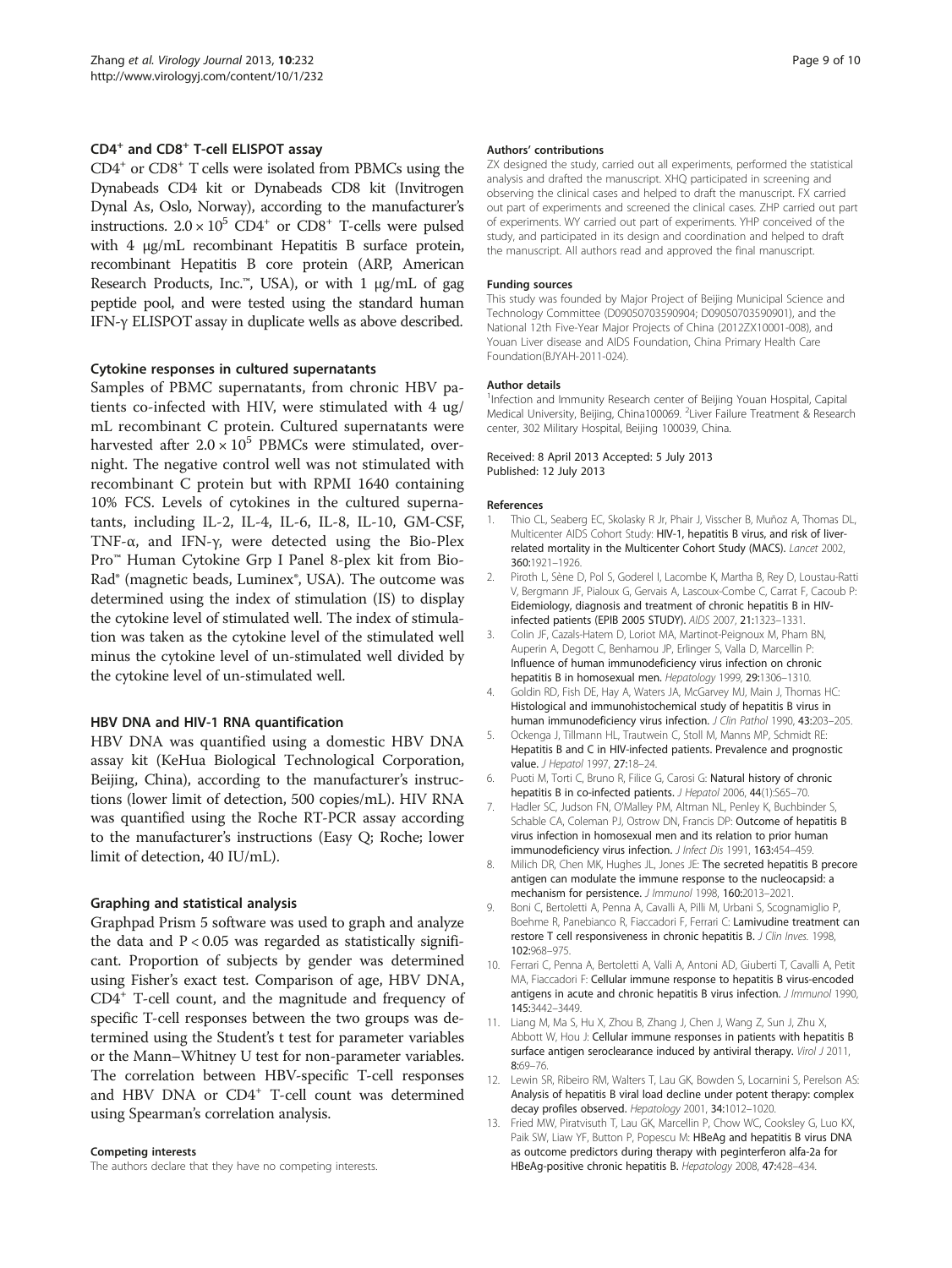#### <span id="page-8-0"></span>CD4<sup>+</sup> and CD8<sup>+</sup> T-cell ELISPOT assay

 $CD4<sup>+</sup>$  or  $CD8<sup>+</sup>$  T cells were isolated from PBMCs using the Dynabeads CD4 kit or Dynabeads CD8 kit (Invitrogen Dynal As, Oslo, Norway), according to the manufacturer's instructions.  $2.0 \times 10^5$  CD4<sup>+</sup> or CD8<sup>+</sup> T-cells were pulsed with 4 μg/mL recombinant Hepatitis B surface protein, recombinant Hepatitis B core protein (ARP, American Research Products, Inc.<sup>™</sup>, USA), or with 1  $\mu$ g/mL of gag peptide pool, and were tested using the standard human IFN-γ ELISPOT assay in duplicate wells as above described.

#### Cytokine responses in cultured supernatants

Samples of PBMC supernatants, from chronic HBV patients co-infected with HIV, were stimulated with 4 ug/ mL recombinant C protein. Cultured supernatants were harvested after  $2.0 \times 10^5$  PBMCs were stimulated, overnight. The negative control well was not stimulated with recombinant C protein but with RPMI 1640 containing 10% FCS. Levels of cytokines in the cultured supernatants, including IL-2, IL-4, IL-6, IL-8, IL-10, GM-CSF, TNF-α, and IFN-γ, were detected using the Bio-Plex Pro™ Human Cytokine Grp I Panel 8-plex kit from Bio-Rad® (magnetic beads, Luminex®, USA). The outcome was determined using the index of stimulation (IS) to display the cytokine level of stimulated well. The index of stimulation was taken as the cytokine level of the stimulated well minus the cytokine level of un-stimulated well divided by the cytokine level of un-stimulated well.

#### HBV DNA and HIV-1 RNA quantification

HBV DNA was quantified using a domestic HBV DNA assay kit (KeHua Biological Technological Corporation, Beijing, China), according to the manufacturer's instructions (lower limit of detection, 500 copies/mL). HIV RNA was quantified using the Roche RT-PCR assay according to the manufacturer's instructions (Easy Q; Roche; lower limit of detection, 40 IU/mL).

#### Graphing and statistical analysis

Graphpad Prism 5 software was used to graph and analyze the data and  $P < 0.05$  was regarded as statistically significant. Proportion of subjects by gender was determined using Fisher's exact test. Comparison of age, HBV DNA, CD4+ T-cell count, and the magnitude and frequency of specific T-cell responses between the two groups was determined using the Student's t test for parameter variables or the Mann–Whitney U test for non-parameter variables. The correlation between HBV-specific T-cell responses and HBV DNA or CD4<sup>+</sup> T-cell count was determined using Spearman's correlation analysis.

#### Competing interests

The authors declare that they have no competing interests.

#### Authors' contributions

ZX designed the study, carried out all experiments, performed the statistical analysis and drafted the manuscript. XHQ participated in screening and observing the clinical cases and helped to draft the manuscript. FX carried out part of experiments and screened the clinical cases. ZHP carried out part of experiments. WY carried out part of experiments. YHP conceived of the study, and participated in its design and coordination and helped to draft the manuscript. All authors read and approved the final manuscript.

#### Funding sources

This study was founded by Major Project of Beijing Municipal Science and Technology Committee (D09050703590904; D09050703590901), and the National 12th Five-Year Major Projects of China (2012ZX10001-008), and Youan Liver disease and AIDS Foundation, China Primary Health Care Foundation(BJYAH-2011-024).

#### Author details

<sup>1</sup>Infection and Immunity Research center of Beijing Youan Hospital, Capital Medical University, Beijing, China100069. <sup>2</sup> Liver Failure Treatment & Research center, 302 Military Hospital, Beijing 100039, China.

#### Received: 8 April 2013 Accepted: 5 July 2013 Published: 12 July 2013

#### References

- 1. Thio CL, Seaberg EC, Skolasky R Jr, Phair J, Visscher B, Muñoz A, Thomas DL, Multicenter AIDS Cohort Study: HIV-1, hepatitis B virus, and risk of liverrelated mortality in the Multicenter Cohort Study (MACS). Lancet 2002, 360:1921–1926.
- 2. Piroth L, Sène D, Pol S, Goderel I, Lacombe K, Martha B, Rey D, Loustau-Ratti V, Bergmann JF, Pialoux G, Gervais A, Lascoux-Combe C, Carrat F, Cacoub P: Eidemiology, diagnosis and treatment of chronic hepatitis B in HIVinfected patients (EPIB 2005 STUDY). AIDS 2007, 21:1323–1331.
- 3. Colin JF, Cazals-Hatem D, Loriot MA, Martinot-Peignoux M, Pham BN, Auperin A, Degott C, Benhamou JP, Erlinger S, Valla D, Marcellin P: Influence of human immunodeficiency virus infection on chronic hepatitis B in homosexual men. Hepatology 1999, 29:1306–1310.
- 4. Goldin RD, Fish DE, Hay A, Waters JA, McGarvey MJ, Main J, Thomas HC: Histological and immunohistochemical study of hepatitis B virus in human immunodeficiency virus infection. J Clin Pathol 1990, 43:203-205.
- 5. Ockenga J, Tillmann HL, Trautwein C, Stoll M, Manns MP, Schmidt RE: Hepatitis B and C in HIV-infected patients. Prevalence and prognostic value. J Hepatol 1997, 27:18-24.
- 6. Puoti M, Torti C, Bruno R, Filice G, Carosi G: Natural history of chronic hepatitis B in co-infected patients. J Hepatol 2006, 44(1):S65-70.
- 7. Hadler SC, Judson FN, O'Malley PM, Altman NL, Penley K, Buchbinder S, Schable CA, Coleman PJ, Ostrow DN, Francis DP: Outcome of hepatitis B virus infection in homosexual men and its relation to prior human immunodeficiency virus infection. J Infect Dis 1991, 163:454-459.
- 8. Milich DR, Chen MK, Hughes JL, Jones JE: The secreted hepatitis B precore antigen can modulate the immune response to the nucleocapsid: a mechanism for persistence. J Immunol 1998, 160:2013–2021.
- 9. Boni C, Bertoletti A, Penna A, Cavalli A, Pilli M, Urbani S, Scognamiglio P, Boehme R, Panebianco R, Fiaccadori F, Ferrari C: Lamivudine treatment can restore T cell responsiveness in chronic hepatitis B. J Clin Inves. 1998, 102:968–975.
- 10. Ferrari C, Penna A, Bertoletti A, Valli A, Antoni AD, Giuberti T, Cavalli A, Petit MA, Fiaccadori F: Cellular immune response to hepatitis B virus-encoded antigens in acute and chronic hepatitis B virus infection. J Immunol 1990, 145:3442–3449.
- 11. Liang M, Ma S, Hu X, Zhou B, Zhang J, Chen J, Wang Z, Sun J, Zhu X, Abbott W, Hou J: Cellular immune responses in patients with hepatitis B surface antigen seroclearance induced by antiviral therapy. Virol J 2011, 8:69–76.
- 12. Lewin SR, Ribeiro RM, Walters T, Lau GK, Bowden S, Locarnini S, Perelson AS: Analysis of hepatitis B viral load decline under potent therapy: complex decay profiles observed. Hepatology 2001, 34:1012–1020.
- 13. Fried MW, Piratvisuth T, Lau GK, Marcellin P, Chow WC, Cooksley G, Luo KX, Paik SW, Liaw YF, Button P, Popescu M: HBeAg and hepatitis B virus DNA as outcome predictors during therapy with peginterferon alfa-2a for HBeAg-positive chronic hepatitis B. Hepatology 2008, 47:428–434.